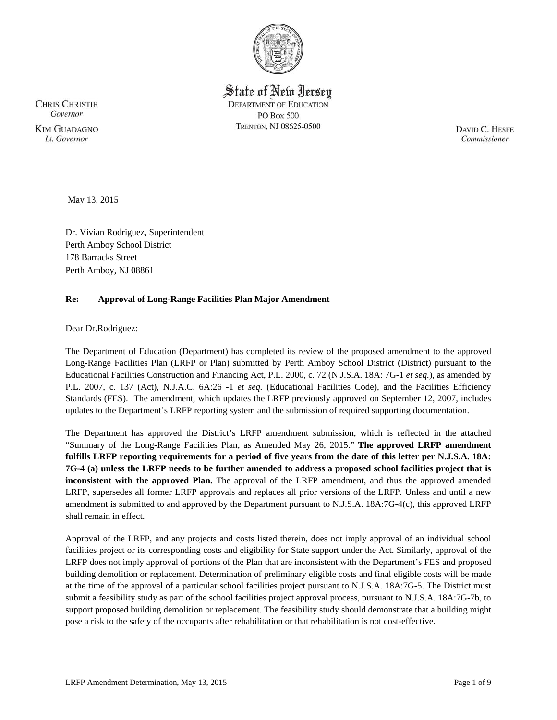

State of New Jersey **DEPARTMENT OF EDUCATION PO Box 500** TRENTON, NJ 08625-0500

**CHRIS CHRISTIE** Governor **KIM GUADAGNO** Lt. Governor

DAVID C. HESPE Commissioner

May 13, 2015

Dr. Vivian Rodriguez, Superintendent Perth Amboy School District 178 Barracks Street Perth Amboy, NJ 08861

## **Re: Approval of Long-Range Facilities Plan Major Amendment**

Dear Dr.Rodriguez:

The Department of Education (Department) has completed its review of the proposed amendment to the approved Long-Range Facilities Plan (LRFP or Plan) submitted by Perth Amboy School District (District) pursuant to the Educational Facilities Construction and Financing Act, P.L. 2000, c. 72 (N.J.S.A. 18A: 7G-1 *et seq.*), as amended by P.L. 2007, c. 137 (Act), N.J.A.C. 6A:26 -1 *et seq.* (Educational Facilities Code), and the Facilities Efficiency Standards (FES). The amendment, which updates the LRFP previously approved on September 12, 2007, includes updates to the Department's LRFP reporting system and the submission of required supporting documentation.

The Department has approved the District's LRFP amendment submission, which is reflected in the attached "Summary of the Long-Range Facilities Plan, as Amended May 26, 2015." **The approved LRFP amendment fulfills LRFP reporting requirements for a period of five years from the date of this letter per N.J.S.A. 18A: 7G-4 (a) unless the LRFP needs to be further amended to address a proposed school facilities project that is inconsistent with the approved Plan.** The approval of the LRFP amendment, and thus the approved amended LRFP, supersedes all former LRFP approvals and replaces all prior versions of the LRFP. Unless and until a new amendment is submitted to and approved by the Department pursuant to N.J.S.A. 18A:7G-4(c), this approved LRFP shall remain in effect.

Approval of the LRFP, and any projects and costs listed therein, does not imply approval of an individual school facilities project or its corresponding costs and eligibility for State support under the Act. Similarly, approval of the LRFP does not imply approval of portions of the Plan that are inconsistent with the Department's FES and proposed building demolition or replacement. Determination of preliminary eligible costs and final eligible costs will be made at the time of the approval of a particular school facilities project pursuant to N.J.S.A. 18A:7G-5. The District must submit a feasibility study as part of the school facilities project approval process, pursuant to N.J.S.A. 18A:7G-7b, to support proposed building demolition or replacement. The feasibility study should demonstrate that a building might pose a risk to the safety of the occupants after rehabilitation or that rehabilitation is not cost-effective.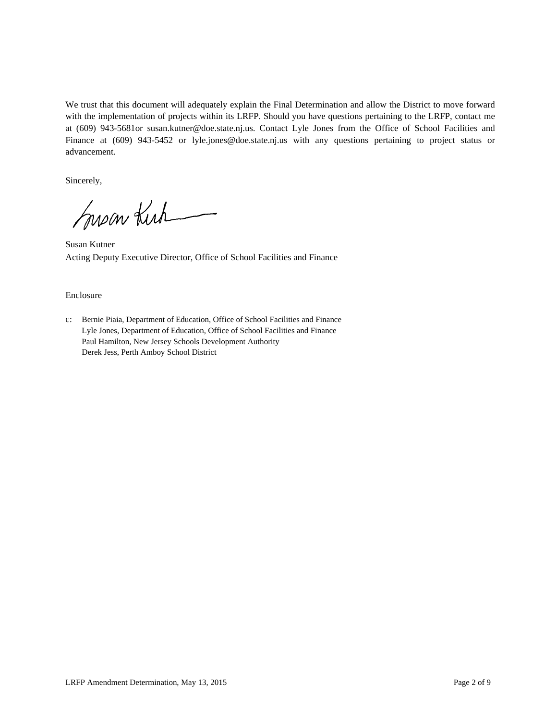We trust that this document will adequately explain the Final Determination and allow the District to move forward with the implementation of projects within its LRFP. Should you have questions pertaining to the LRFP, contact me at (609) 943-5681or susan.kutner@doe.state.nj.us. Contact Lyle Jones from the Office of School Facilities and Finance at (609) 943-5452 or lyle.jones@doe.state.nj.us with any questions pertaining to project status or advancement.

Sincerely,

Susan Kirk

Susan Kutner Acting Deputy Executive Director, Office of School Facilities and Finance

#### Enclosure

c: Bernie Piaia, Department of Education, Office of School Facilities and Finance Lyle Jones, Department of Education, Office of School Facilities and Finance Paul Hamilton, New Jersey Schools Development Authority Derek Jess, Perth Amboy School District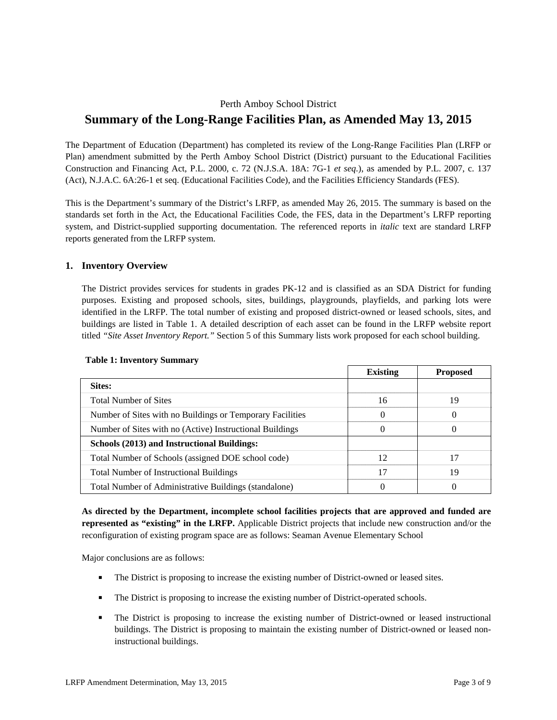# Perth Amboy School District **Summary of the Long-Range Facilities Plan, as Amended May 13, 2015**

The Department of Education (Department) has completed its review of the Long-Range Facilities Plan (LRFP or Plan) amendment submitted by the Perth Amboy School District (District) pursuant to the Educational Facilities Construction and Financing Act, P.L. 2000, c. 72 (N.J.S.A. 18A: 7G-1 *et seq.*), as amended by P.L. 2007, c. 137 (Act), N.J.A.C. 6A:26-1 et seq. (Educational Facilities Code), and the Facilities Efficiency Standards (FES).

This is the Department's summary of the District's LRFP, as amended May 26, 2015. The summary is based on the standards set forth in the Act, the Educational Facilities Code, the FES, data in the Department's LRFP reporting system, and District-supplied supporting documentation. The referenced reports in *italic* text are standard LRFP reports generated from the LRFP system.

## **1. Inventory Overview**

The District provides services for students in grades PK-12 and is classified as an SDA District for funding purposes. Existing and proposed schools, sites, buildings, playgrounds, playfields, and parking lots were identified in the LRFP. The total number of existing and proposed district-owned or leased schools, sites, and buildings are listed in Table 1. A detailed description of each asset can be found in the LRFP website report titled *"Site Asset Inventory Report."* Section 5 of this Summary lists work proposed for each school building.

|                                                           | <b>Existing</b> | <b>Proposed</b> |
|-----------------------------------------------------------|-----------------|-----------------|
| Sites:                                                    |                 |                 |
| <b>Total Number of Sites</b>                              | 16              | 19              |
| Number of Sites with no Buildings or Temporary Facilities |                 | $\theta$        |
| Number of Sites with no (Active) Instructional Buildings  |                 | $\theta$        |
| Schools (2013) and Instructional Buildings:               |                 |                 |
| Total Number of Schools (assigned DOE school code)        | 12              | 17              |
| <b>Total Number of Instructional Buildings</b>            | 17              | 19              |
| Total Number of Administrative Buildings (standalone)     |                 |                 |

#### **Table 1: Inventory Summary**

**As directed by the Department, incomplete school facilities projects that are approved and funded are represented as "existing" in the LRFP.** Applicable District projects that include new construction and/or the reconfiguration of existing program space are as follows: Seaman Avenue Elementary School

Major conclusions are as follows:

- The District is proposing to increase the existing number of District-owned or leased sites.
- The District is proposing to increase the existing number of District-operated schools.
- The District is proposing to increase the existing number of District-owned or leased instructional buildings. The District is proposing to maintain the existing number of District-owned or leased noninstructional buildings.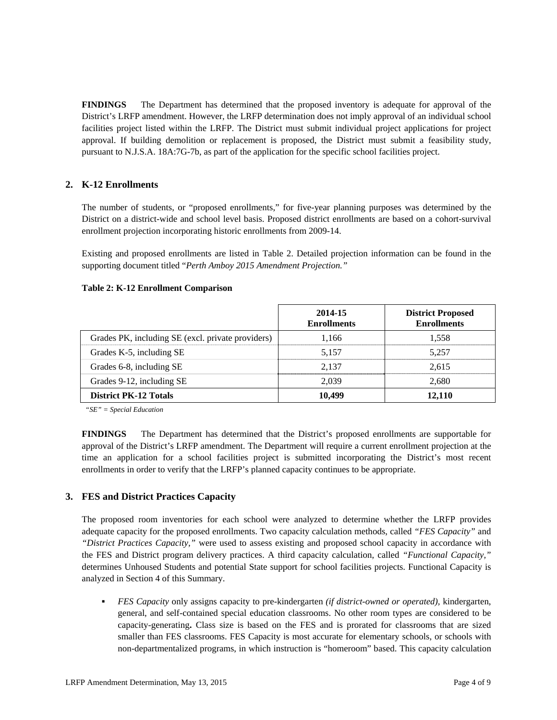**FINDINGS** The Department has determined that the proposed inventory is adequate for approval of the District's LRFP amendment. However, the LRFP determination does not imply approval of an individual school facilities project listed within the LRFP. The District must submit individual project applications for project approval. If building demolition or replacement is proposed, the District must submit a feasibility study, pursuant to N.J.S.A. 18A:7G-7b, as part of the application for the specific school facilities project.

# **2. K-12 Enrollments**

The number of students, or "proposed enrollments," for five-year planning purposes was determined by the District on a district-wide and school level basis. Proposed district enrollments are based on a cohort-survival enrollment projection incorporating historic enrollments from 2009-14.

Existing and proposed enrollments are listed in Table 2. Detailed projection information can be found in the supporting document titled "*Perth Amboy 2015 Amendment Projection."*

### **Table 2: K-12 Enrollment Comparison**

|                                                   | 2014-15<br><b>Enrollments</b> | <b>District Proposed</b><br><b>Enrollments</b> |
|---------------------------------------------------|-------------------------------|------------------------------------------------|
| Grades PK, including SE (excl. private providers) | 1.166                         | 1.558                                          |
| Grades K-5, including SE                          | 5.157                         | 5.257                                          |
| Grades 6-8, including SE                          | 2.137                         | 2.615                                          |
| Grades 9-12, including SE                         | 2.039                         | 2.680                                          |
| <b>District PK-12 Totals</b>                      | 10,499                        | 12,110                                         |

*"SE" = Special Education* 

**FINDINGS** The Department has determined that the District's proposed enrollments are supportable for approval of the District's LRFP amendment. The Department will require a current enrollment projection at the time an application for a school facilities project is submitted incorporating the District's most recent enrollments in order to verify that the LRFP's planned capacity continues to be appropriate.

## **3. FES and District Practices Capacity**

The proposed room inventories for each school were analyzed to determine whether the LRFP provides adequate capacity for the proposed enrollments. Two capacity calculation methods, called *"FES Capacity"* and *"District Practices Capacity,"* were used to assess existing and proposed school capacity in accordance with the FES and District program delivery practices. A third capacity calculation, called *"Functional Capacity,"* determines Unhoused Students and potential State support for school facilities projects. Functional Capacity is analyzed in Section 4 of this Summary.

 *FES Capacity* only assigns capacity to pre-kindergarten *(if district-owned or operated),* kindergarten, general, and self-contained special education classrooms. No other room types are considered to be capacity-generating**.** Class size is based on the FES and is prorated for classrooms that are sized smaller than FES classrooms. FES Capacity is most accurate for elementary schools, or schools with non-departmentalized programs, in which instruction is "homeroom" based. This capacity calculation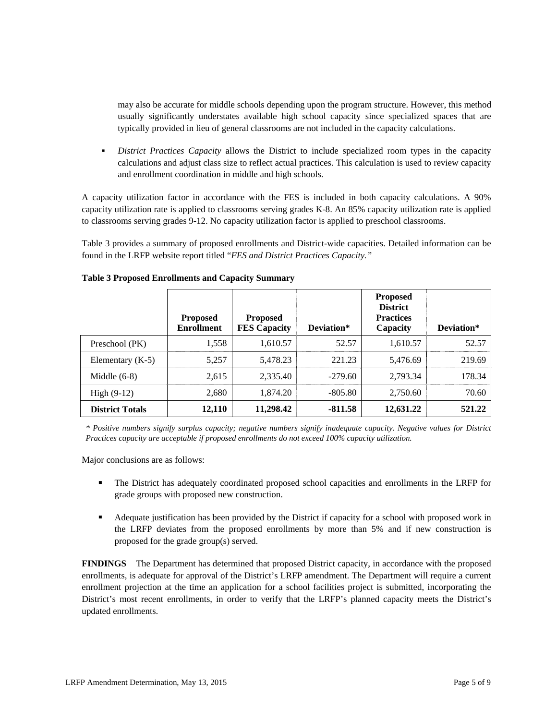may also be accurate for middle schools depending upon the program structure. However, this method usually significantly understates available high school capacity since specialized spaces that are typically provided in lieu of general classrooms are not included in the capacity calculations.

 *District Practices Capacity* allows the District to include specialized room types in the capacity calculations and adjust class size to reflect actual practices. This calculation is used to review capacity and enrollment coordination in middle and high schools.

A capacity utilization factor in accordance with the FES is included in both capacity calculations. A 90% capacity utilization rate is applied to classrooms serving grades K-8. An 85% capacity utilization rate is applied to classrooms serving grades 9-12. No capacity utilization factor is applied to preschool classrooms.

Table 3 provides a summary of proposed enrollments and District-wide capacities. Detailed information can be found in the LRFP website report titled "*FES and District Practices Capacity."*

|                        | <b>Proposed</b><br><b>Enrollment</b> | <b>Proposed</b><br><b>FES Capacity</b> | Deviation* | <b>Proposed</b><br><b>District</b><br><b>Practices</b><br>Capacity | Deviation* |
|------------------------|--------------------------------------|----------------------------------------|------------|--------------------------------------------------------------------|------------|
| Preschool (PK)         | 1,558                                | 1,610.57                               | 52.57      | 1,610.57                                                           | 52.57      |
| Elementary $(K-5)$     | 5,257                                | 5.478.23                               | 221.23     | 5.476.69                                                           | 219.69     |
| Middle $(6-8)$         | 2,615                                | 2,335.40                               | $-279.60$  | 2,793.34                                                           | 178.34     |
| High $(9-12)$          | 2,680                                | 1,874.20                               | -805.80    | 2,750.60                                                           | 70.60      |
| <b>District Totals</b> | 12,110                               | 11,298.42                              | $-811.58$  | 12,631.22                                                          | 521.22     |

### **Table 3 Proposed Enrollments and Capacity Summary**

*\* Positive numbers signify surplus capacity; negative numbers signify inadequate capacity. Negative values for District Practices capacity are acceptable if proposed enrollments do not exceed 100% capacity utilization.* 

Major conclusions are as follows:

- The District has adequately coordinated proposed school capacities and enrollments in the LRFP for grade groups with proposed new construction.
- Adequate justification has been provided by the District if capacity for a school with proposed work in the LRFP deviates from the proposed enrollments by more than 5% and if new construction is proposed for the grade group(s) served.

**FINDINGS** The Department has determined that proposed District capacity, in accordance with the proposed enrollments, is adequate for approval of the District's LRFP amendment. The Department will require a current enrollment projection at the time an application for a school facilities project is submitted, incorporating the District's most recent enrollments, in order to verify that the LRFP's planned capacity meets the District's updated enrollments.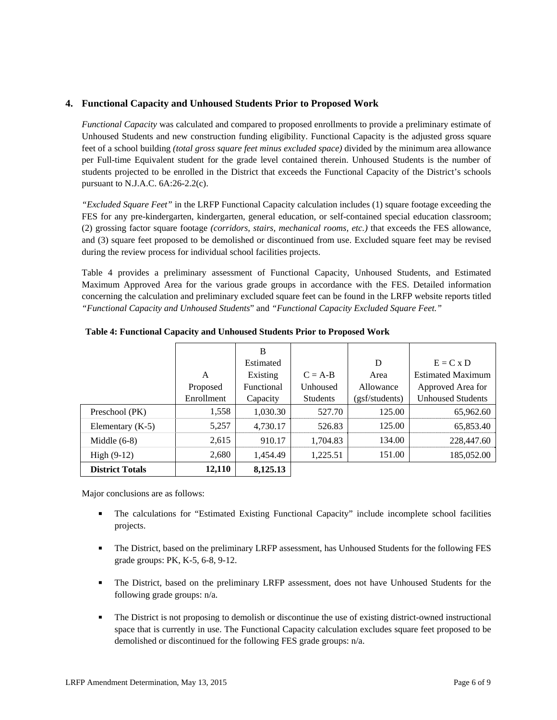## **4. Functional Capacity and Unhoused Students Prior to Proposed Work**

*Functional Capacity* was calculated and compared to proposed enrollments to provide a preliminary estimate of Unhoused Students and new construction funding eligibility. Functional Capacity is the adjusted gross square feet of a school building *(total gross square feet minus excluded space)* divided by the minimum area allowance per Full-time Equivalent student for the grade level contained therein. Unhoused Students is the number of students projected to be enrolled in the District that exceeds the Functional Capacity of the District's schools pursuant to N.J.A.C. 6A:26-2.2(c).

*"Excluded Square Feet"* in the LRFP Functional Capacity calculation includes (1) square footage exceeding the FES for any pre-kindergarten, kindergarten, general education, or self-contained special education classroom; (2) grossing factor square footage *(corridors, stairs, mechanical rooms, etc.)* that exceeds the FES allowance, and (3) square feet proposed to be demolished or discontinued from use. Excluded square feet may be revised during the review process for individual school facilities projects.

Table 4 provides a preliminary assessment of Functional Capacity, Unhoused Students, and Estimated Maximum Approved Area for the various grade groups in accordance with the FES. Detailed information concerning the calculation and preliminary excluded square feet can be found in the LRFP website reports titled *"Functional Capacity and Unhoused Students*" and *"Functional Capacity Excluded Square Feet."*

|                        |            | B          |                 |                |                          |
|------------------------|------------|------------|-----------------|----------------|--------------------------|
|                        |            | Estimated  |                 | D              | $E = C x D$              |
|                        | A          | Existing   | $C = A-B$       | Area           | <b>Estimated Maximum</b> |
|                        | Proposed   | Functional | Unhoused        | Allowance      | Approved Area for        |
|                        | Enrollment | Capacity   | <b>Students</b> | (gsf/students) | <b>Unhoused Students</b> |
| Preschool (PK)         | 1,558      | 1,030.30   | 527.70          | 125.00         | 65,962.60                |
| Elementary $(K-5)$     | 5,257      | 4,730.17   | 526.83          | 125.00         | 65,853.40                |
| Middle $(6-8)$         | 2,615      | 910.17     | 1,704.83        | 134.00         | 228,447.60               |
| High $(9-12)$          | 2,680      | 1,454.49   | 1,225.51        | 151.00         | 185,052.00               |
| <b>District Totals</b> | 12,110     | 8,125.13   |                 |                |                          |

**Table 4: Functional Capacity and Unhoused Students Prior to Proposed Work** 

Major conclusions are as follows:

- The calculations for "Estimated Existing Functional Capacity" include incomplete school facilities projects.
- **The District, based on the preliminary LRFP assessment, has Unhoused Students for the following FES** grade groups: PK, K-5, 6-8, 9-12.
- The District, based on the preliminary LRFP assessment, does not have Unhoused Students for the following grade groups: n/a.
- The District is not proposing to demolish or discontinue the use of existing district-owned instructional space that is currently in use. The Functional Capacity calculation excludes square feet proposed to be demolished or discontinued for the following FES grade groups: n/a.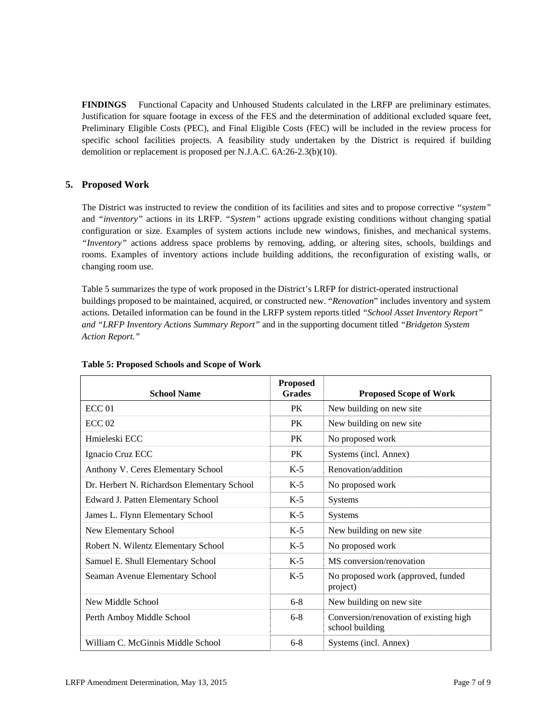**FINDINGS** Functional Capacity and Unhoused Students calculated in the LRFP are preliminary estimates. Justification for square footage in excess of the FES and the determination of additional excluded square feet, Preliminary Eligible Costs (PEC), and Final Eligible Costs (FEC) will be included in the review process for specific school facilities projects. A feasibility study undertaken by the District is required if building demolition or replacement is proposed per N.J.A.C. 6A:26-2.3(b)(10).

# **5. Proposed Work**

The District was instructed to review the condition of its facilities and sites and to propose corrective *"system"* and *"inventory"* actions in its LRFP. *"System"* actions upgrade existing conditions without changing spatial configuration or size. Examples of system actions include new windows, finishes, and mechanical systems. *"Inventory"* actions address space problems by removing, adding, or altering sites, schools, buildings and rooms. Examples of inventory actions include building additions, the reconfiguration of existing walls, or changing room use.

Table 5 summarizes the type of work proposed in the District's LRFP for district-operated instructional buildings proposed to be maintained, acquired, or constructed new. "*Renovation*" includes inventory and system actions. Detailed information can be found in the LRFP system reports titled *"School Asset Inventory Report" and "LRFP Inventory Actions Summary Report"* and in the supporting document titled *"Bridgeton System Action Report."*

| <b>School Name</b>                          | <b>Proposed</b><br><b>Grades</b> | <b>Proposed Scope of Work</b>                             |
|---------------------------------------------|----------------------------------|-----------------------------------------------------------|
| ECC <sub>01</sub>                           | <b>PK</b>                        | New building on new site                                  |
| ECC <sub>02</sub>                           | PK                               | New building on new site                                  |
| Hmieleski ECC                               | PK                               | No proposed work                                          |
| Ignacio Cruz ECC                            | <b>PK</b>                        | Systems (incl. Annex)                                     |
| Anthony V. Ceres Elementary School          | $K-5$                            | Renovation/addition                                       |
| Dr. Herbert N. Richardson Elementary School | $K-5$                            | No proposed work                                          |
| Edward J. Patten Elementary School          | $K-5$                            | <b>Systems</b>                                            |
| James L. Flynn Elementary School            | $K-5$                            | Systems                                                   |
| New Elementary School                       | $K-5$                            | New building on new site                                  |
| Robert N. Wilentz Elementary School         | $K-5$                            | No proposed work                                          |
| Samuel E. Shull Elementary School           | $K-5$                            | MS conversion/renovation                                  |
| Seaman Avenue Elementary School             | $K-5$                            | No proposed work (approved, funded<br>project)            |
| New Middle School                           | $6 - 8$                          | New building on new site                                  |
| Perth Amboy Middle School                   | $6 - 8$                          | Conversion/renovation of existing high<br>school building |
| William C. McGinnis Middle School           | $6 - 8$                          | Systems (incl. Annex)                                     |

#### **Table 5: Proposed Schools and Scope of Work**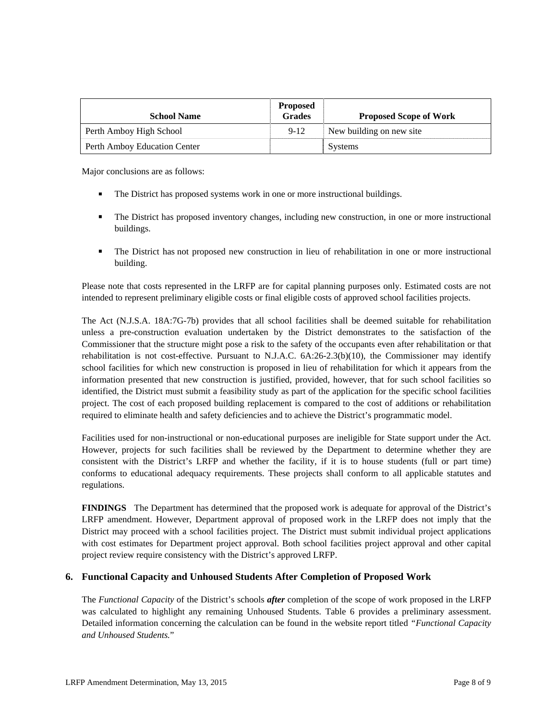| <b>School Name</b>           | <b>Proposed</b><br><b>Grades</b> | <b>Proposed Scope of Work</b> |
|------------------------------|----------------------------------|-------------------------------|
| Perth Amboy High School      | $9-12$                           | New building on new site.     |
| Perth Amboy Education Center |                                  | Systems                       |

Major conclusions are as follows:

- The District has proposed systems work in one or more instructional buildings.
- The District has proposed inventory changes, including new construction, in one or more instructional buildings.
- The District has not proposed new construction in lieu of rehabilitation in one or more instructional building.

Please note that costs represented in the LRFP are for capital planning purposes only. Estimated costs are not intended to represent preliminary eligible costs or final eligible costs of approved school facilities projects.

The Act (N.J.S.A. 18A:7G-7b) provides that all school facilities shall be deemed suitable for rehabilitation unless a pre-construction evaluation undertaken by the District demonstrates to the satisfaction of the Commissioner that the structure might pose a risk to the safety of the occupants even after rehabilitation or that rehabilitation is not cost-effective. Pursuant to N.J.A.C. 6A:26-2.3(b)(10), the Commissioner may identify school facilities for which new construction is proposed in lieu of rehabilitation for which it appears from the information presented that new construction is justified, provided, however, that for such school facilities so identified, the District must submit a feasibility study as part of the application for the specific school facilities project. The cost of each proposed building replacement is compared to the cost of additions or rehabilitation required to eliminate health and safety deficiencies and to achieve the District's programmatic model.

Facilities used for non-instructional or non-educational purposes are ineligible for State support under the Act. However, projects for such facilities shall be reviewed by the Department to determine whether they are consistent with the District's LRFP and whether the facility, if it is to house students (full or part time) conforms to educational adequacy requirements. These projects shall conform to all applicable statutes and regulations.

**FINDINGS** The Department has determined that the proposed work is adequate for approval of the District's LRFP amendment. However, Department approval of proposed work in the LRFP does not imply that the District may proceed with a school facilities project. The District must submit individual project applications with cost estimates for Department project approval. Both school facilities project approval and other capital project review require consistency with the District's approved LRFP.

# **6. Functional Capacity and Unhoused Students After Completion of Proposed Work**

The *Functional Capacity* of the District's schools *after* completion of the scope of work proposed in the LRFP was calculated to highlight any remaining Unhoused Students. Table 6 provides a preliminary assessment. Detailed information concerning the calculation can be found in the website report titled *"Functional Capacity and Unhoused Students.*"